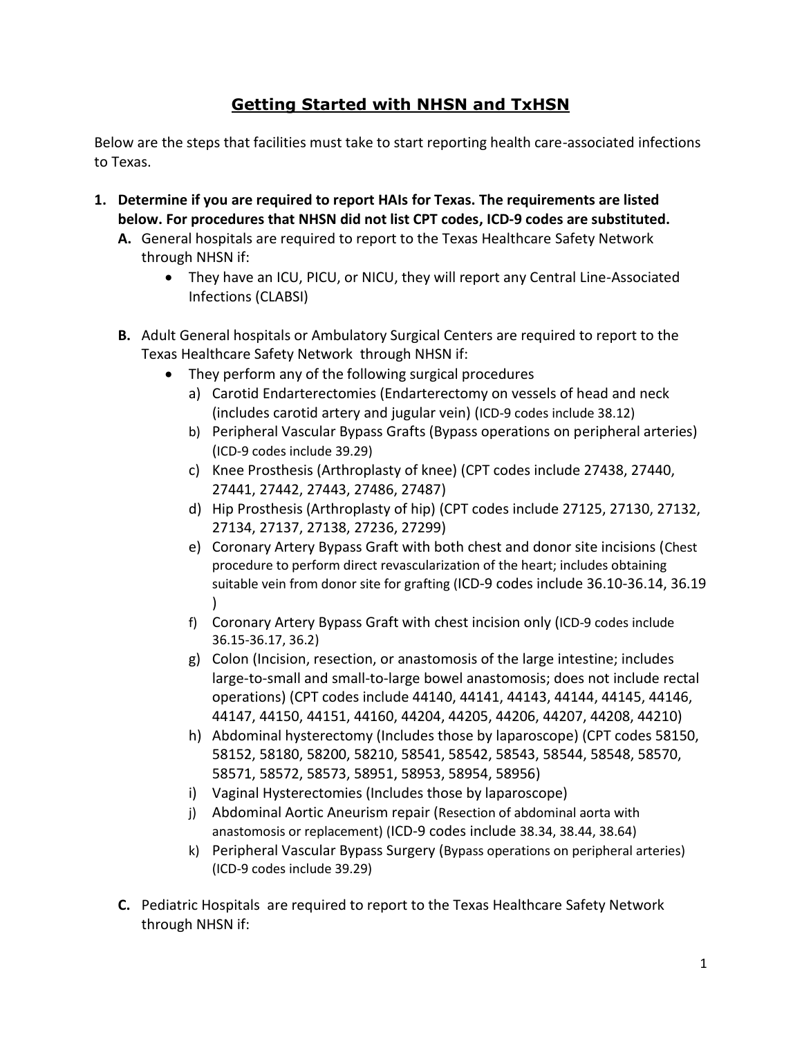## **[Getting Started with NHSN and TxHSN](http://www.dshs.state.tx.us/WorkArea/linkit.aspx?LinkIdentifier=id&ItemID=8589972760)**

Below are the steps that facilities must take to start reporting health care-associated infections to Texas.

- **1. Determine if you are required to report HAIs for Texas. The requirements are listed below. For procedures that NHSN did not list CPT codes, ICD-9 codes are substituted.**
	- **A.** General hospitals are required to report to the Texas Healthcare Safety Network through NHSN if:
		- They have an ICU, PICU, or NICU, they will report any Central Line-Associated Infections (CLABSI)
	- **B.** Adult General hospitals or Ambulatory Surgical Centers are required to report to the Texas Healthcare Safety Network through NHSN if:
		- They perform any of the following surgical procedures
			- a) Carotid Endarterectomies (Endarterectomy on vessels of head and neck (includes carotid artery and jugular vein) (ICD-9 codes include 38.12)
			- b) Peripheral Vascular Bypass Grafts (Bypass operations on peripheral arteries) (ICD-9 codes include 39.29)
			- c) Knee Prosthesis (Arthroplasty of knee) (CPT codes include 27438, 27440, 27441, 27442, 27443, 27486, 27487)
			- d) Hip Prosthesis (Arthroplasty of hip) (CPT codes include 27125, 27130, 27132, 27134, 27137, 27138, 27236, 27299)
			- e) Coronary Artery Bypass Graft with both chest and donor site incisions (Chest procedure to perform direct revascularization of the heart; includes obtaining suitable vein from donor site for grafting (ICD-9 codes include 36.10-36.14, 36.19  $\mathcal{L}$
			- f) Coronary Artery Bypass Graft with chest incision only (ICD-9 codes include 36.15-36.17, 36.2)
			- g) Colon (Incision, resection, or anastomosis of the large intestine; includes large-to-small and small-to-large bowel anastomosis; does not include rectal operations) (CPT codes include 44140, 44141, 44143, 44144, 44145, 44146, 44147, 44150, 44151, 44160, 44204, 44205, 44206, 44207, 44208, 44210)
			- h) Abdominal hysterectomy (Includes those by laparoscope) (CPT codes 58150, 58152, 58180, 58200, 58210, 58541, 58542, 58543, 58544, 58548, 58570, 58571, 58572, 58573, 58951, 58953, 58954, 58956)
			- i) Vaginal Hysterectomies (Includes those by laparoscope)
			- j) Abdominal Aortic Aneurism repair (Resection of abdominal aorta with anastomosis or replacement) (ICD-9 codes include 38.34, 38.44, 38.64)
			- k) Peripheral Vascular Bypass Surgery (Bypass operations on peripheral arteries) (ICD-9 codes include 39.29)
	- **C.** Pediatric Hospitals are required to report to the Texas Healthcare Safety Network through NHSN if: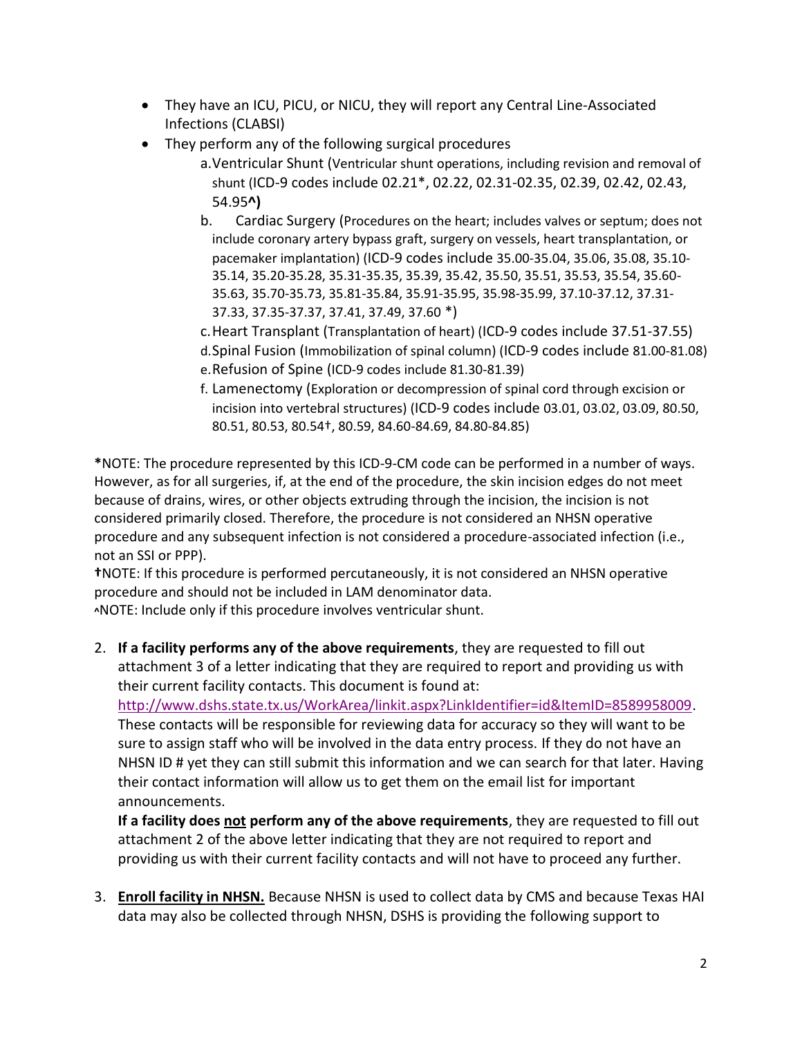- They have an ICU, PICU, or NICU, they will report any Central Line-Associated Infections (CLABSI)
- They perform any of the following surgical procedures
	- a.Ventricular Shunt (Ventricular shunt operations, including revision and removal of shunt (ICD-9 codes include 02.21\*, 02.22, 02.31-02.35, 02.39, 02.42, 02.43, 54.95**^)**
	- b. Cardiac Surgery (Procedures on the heart; includes valves or septum; does not include coronary artery bypass graft, surgery on vessels, heart transplantation, or pacemaker implantation) (ICD-9 codes include 35.00-35.04, 35.06, 35.08, 35.10- 35.14, 35.20-35.28, 35.31-35.35, 35.39, 35.42, 35.50, 35.51, 35.53, 35.54, 35.60- 35.63, 35.70-35.73, 35.81-35.84, 35.91-35.95, 35.98-35.99, 37.10-37.12, 37.31- 37.33, 37.35-37.37, 37.41, 37.49, 37.60 \*)
	- c.Heart Transplant (Transplantation of heart) (ICD-9 codes include 37.51-37.55)
	- d.Spinal Fusion (Immobilization of spinal column) (ICD-9 codes include 81.00-81.08) e.Refusion of Spine (ICD-9 codes include 81.30-81.39)
	- f. Lamenectomy (Exploration or decompression of spinal cord through excision or incision into vertebral structures) (ICD-9 codes include 03.01, 03.02, 03.09, 80.50, 80.51, 80.53, 80.54†, 80.59, 84.60-84.69, 84.80-84.85)

**\***NOTE: The procedure represented by this ICD-9-CM code can be performed in a number of ways. However, as for all surgeries, if, at the end of the procedure, the skin incision edges do not meet because of drains, wires, or other objects extruding through the incision, the incision is not considered primarily closed. Therefore, the procedure is not considered an NHSN operative procedure and any subsequent infection is not considered a procedure-associated infection (i.e., not an SSI or PPP).

**†**NOTE: If this procedure is performed percutaneously, it is not considered an NHSN operative procedure and should not be included in LAM denominator data. **^**NOTE: Include only if this procedure involves ventricular shunt.

2. **If a facility performs any of the above requirements**, they are requested to fill out attachment 3 of a letter indicating that they are required to report and providing us with their current facility contacts. This document is found at:

[http://www.dshs.state.tx.us/WorkArea/linkit.aspx?LinkIdentifier=id&ItemID=8589958009.](http://www.dshs.state.tx.us/WorkArea/linkit.aspx?LinkIdentifier=id&ItemID=8589958009)

These contacts will be responsible for reviewing data for accuracy so they will want to be sure to assign staff who will be involved in the data entry process. If they do not have an NHSN ID # yet they can still submit this information and we can search for that later. Having their contact information will allow us to get them on the email list for important announcements.

**If a facility does not perform any of the above requirements**, they are requested to fill out attachment 2 of the above letter indicating that they are not required to report and providing us with their current facility contacts and will not have to proceed any further.

3. **Enroll facility in NHSN.** Because NHSN is used to collect data by CMS and because Texas HAI data may also be collected through NHSN, DSHS is providing the following support to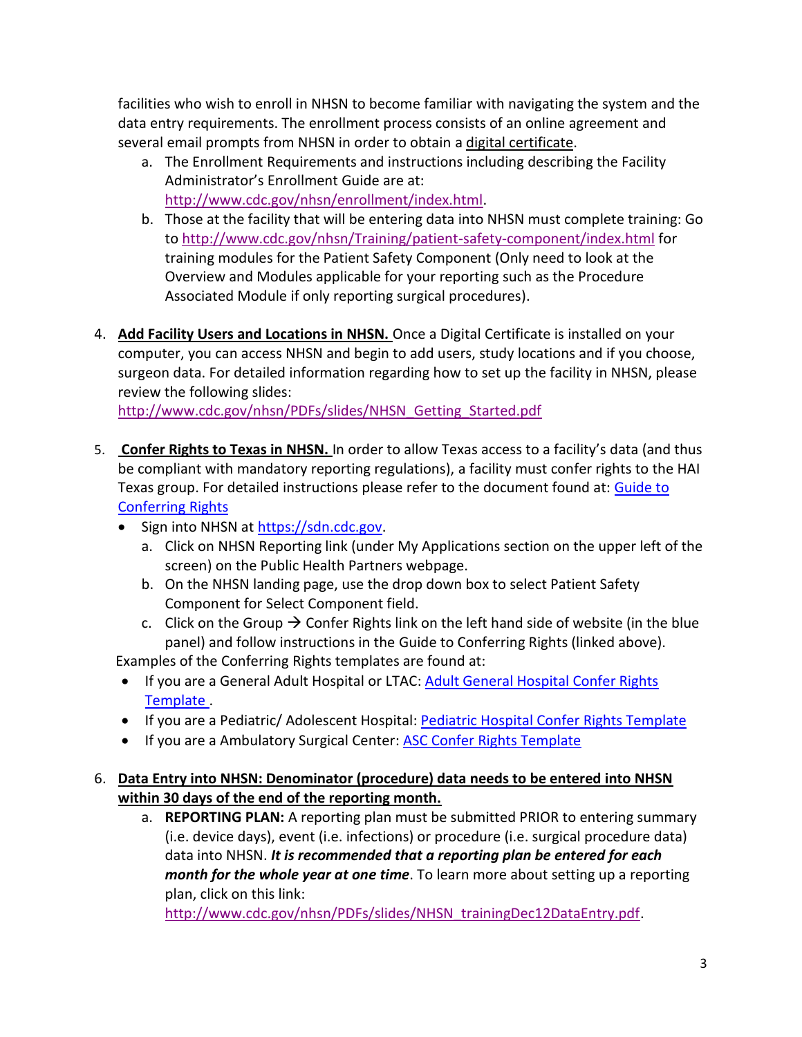facilities who wish to enroll in NHSN to become familiar with navigating the system and the data entry requirements. The enrollment process consists of an online agreement and several email prompts from NHSN in order to obtain a digital certificate.

- a. The Enrollment Requirements and instructions including describing the Facility Administrator's Enrollment Guide are at: [http://www.cdc.gov/nhsn/enrollment/index.html.](http://www.cdc.gov/nhsn/enrollment/index.html)
- b. Those at the facility that will be entering data into NHSN must complete training: Go to<http://www.cdc.gov/nhsn/Training/patient-safety-component/index.html> for training modules for the Patient Safety Component (Only need to look at the Overview and Modules applicable for your reporting such as the Procedure Associated Module if only reporting surgical procedures).
- 4. **Add Facility Users and Locations in NHSN.** Once a Digital Certificate is installed on your computer, you can access NHSN and begin to add users, study locations and if you choose, surgeon data. For detailed information regarding how to set up the facility in NHSN, please review the following slides:

[http://www.cdc.gov/nhsn/PDFs/slides/NHSN\\_Getting\\_Started.pdf](http://www.cdc.gov/nhsn/PDFs/slides/NHSN_Getting_Started.pdf)

- 5. **Confer Rights to Texas in NHSN.** In order to allow Texas access to a facility's data (and thus be compliant with mandatory reporting regulations), a facility must confer rights to the HAI Texas group. For detailed instructions please refer to the document found at: Guide to [Conferring Rights](http://www.dshs.state.tx.us/WorkArea/linkit.aspx?LinkIdentifier=id&ItemID=8589959297)
	- Sign into NHSN a[t https://sdn.cdc.gov.](https://sdn.cdc.gov/)
		- a. Click on NHSN Reporting link (under My Applications section on the upper left of the screen) on the Public Health Partners webpage.
		- b. On the NHSN landing page, use the drop down box to select Patient Safety Component for Select Component field.
	- c. Click on the Group  $\rightarrow$  Confer Rights link on the left hand side of website (in the blue panel) and follow instructions in the Guide to Conferring Rights (linked above). Examples of the Conferring Rights templates are found at:
	- If you are a General Adult Hospital or LTAC: Adult General Hospital Confer Rights [Template .](http://www.dshs.state.tx.us/WorkArea/linkit.aspx?LinkIdentifier=id&ItemID=8589959295)
	- If you are a Pediatric/ Adolescent Hospital: [Pediatric Hospital Confer Rights Template](http://www.dshs.state.tx.us/WorkArea/linkit.aspx?LinkIdentifier=id&ItemID=8589959294)
	- If you are a Ambulatory Surgical Center: **[ASC Confer Rights Template](http://www.dshs.state.tx.us/WorkArea/linkit.aspx?LinkIdentifier=id&ItemID=8589959296)**
- 6. **Data Entry into NHSN: Denominator (procedure) data needs to be entered into NHSN within 30 days of the end of the reporting month.**
	- a. **REPORTING PLAN:** A reporting plan must be submitted PRIOR to entering summary (i.e. device days), event (i.e. infections) or procedure (i.e. surgical procedure data) data into NHSN. *It is recommended that a reporting plan be entered for each month for the whole year at one time*. To learn more about setting up a reporting plan, click on this link:

[http://www.cdc.gov/nhsn/PDFs/slides/NHSN\\_trainingDec12DataEntry.pdf.](http://www.cdc.gov/nhsn/PDFs/slides/NHSN_trainingDec12DataEntry.pdf)